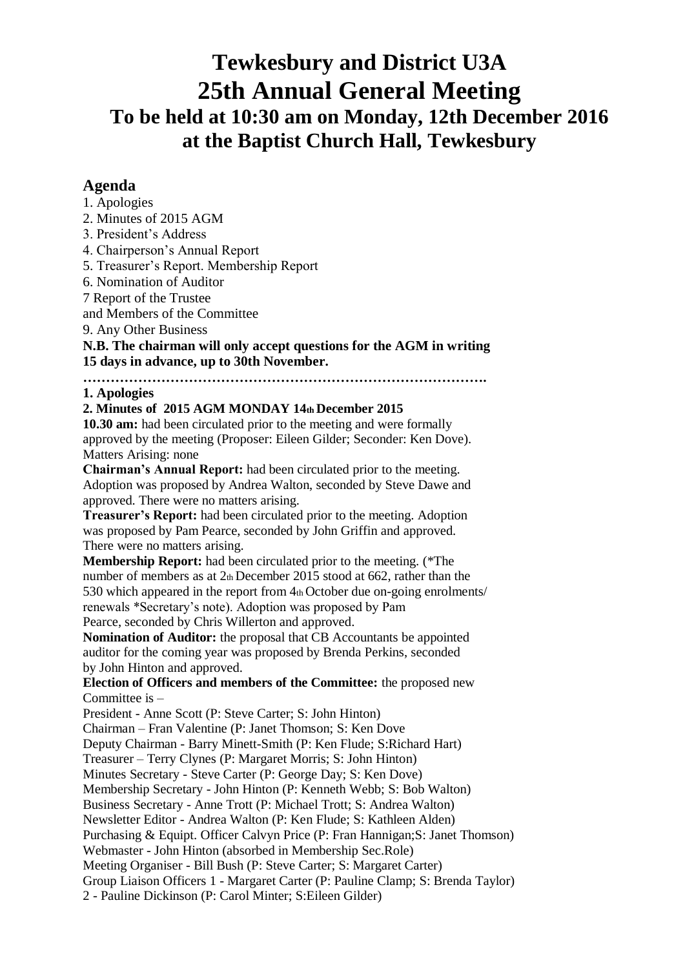# **Tewkesbury and District U3A 25th Annual General Meeting To be held at 10:30 am on Monday, 12th December 2016 at the Baptist Church Hall, Tewkesbury**

## **Agenda**

- 1. Apologies
- 2. Minutes of 2015 AGM
- 3. President's Address
- 4. Chairperson's Annual Report
- 5. Treasurer's Report. Membership Report
- 6. Nomination of Auditor
- 7 Report of the Trustee

and Members of the Committee

9. Any Other Business

**N.B. The chairman will only accept questions for the AGM in writing 15 days in advance, up to 30th November.**

#### **……………………………………………………………………………. 1. Apologies**

## **2. Minutes of 2015 AGM MONDAY 14th December 2015**

**10.30 am:** had been circulated prior to the meeting and were formally approved by the meeting (Proposer: Eileen Gilder; Seconder: Ken Dove). Matters Arising: none

**Chairman's Annual Report:** had been circulated prior to the meeting. Adoption was proposed by Andrea Walton, seconded by Steve Dawe and approved. There were no matters arising.

**Treasurer's Report:** had been circulated prior to the meeting. Adoption was proposed by Pam Pearce, seconded by John Griffin and approved. There were no matters arising.

**Membership Report:** had been circulated prior to the meeting. (\*The number of members as at 2th December 2015 stood at 662, rather than the 530 which appeared in the report from 4th October due on-going enrolments/ renewals \*Secretary's note). Adoption was proposed by Pam Pearce, seconded by Chris Willerton and approved.

**Nomination of Auditor:** the proposal that CB Accountants be appointed auditor for the coming year was proposed by Brenda Perkins, seconded by John Hinton and approved.

**Election of Officers and members of the Committee:** the proposed new Committee is –

President - Anne Scott (P: Steve Carter; S: John Hinton)

Chairman – Fran Valentine (P: Janet Thomson; S: Ken Dove

Deputy Chairman - Barry Minett-Smith (P: Ken Flude; S:Richard Hart)

Treasurer – Terry Clynes (P: Margaret Morris; S: John Hinton)

Minutes Secretary - Steve Carter (P: George Day; S: Ken Dove)

Membership Secretary - John Hinton (P: Kenneth Webb; S: Bob Walton)

Business Secretary - Anne Trott (P: Michael Trott; S: Andrea Walton)

Newsletter Editor - Andrea Walton (P: Ken Flude; S: Kathleen Alden)

Purchasing & Equipt. Officer Calvyn Price (P: Fran Hannigan;S: Janet Thomson)

Webmaster - John Hinton (absorbed in Membership Sec.Role)

Meeting Organiser - Bill Bush (P: Steve Carter; S: Margaret Carter)

Group Liaison Officers 1 - Margaret Carter (P: Pauline Clamp; S: Brenda Taylor)

2 - Pauline Dickinson (P: Carol Minter; S:Eileen Gilder)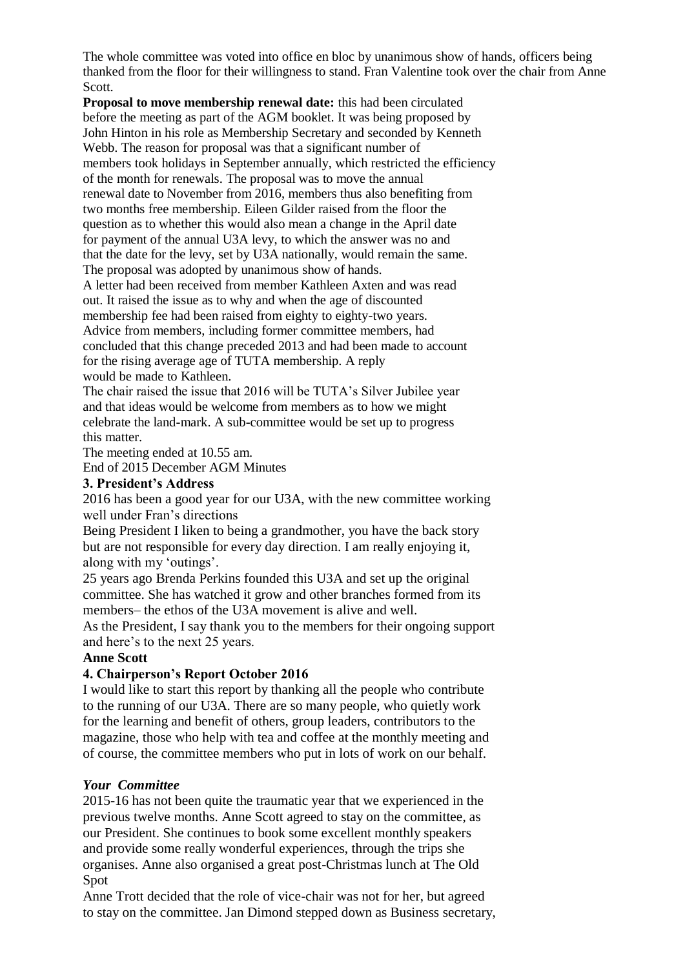The whole committee was voted into office en bloc by unanimous show of hands, officers being thanked from the floor for their willingness to stand. Fran Valentine took over the chair from Anne Scott.

**Proposal to move membership renewal date:** this had been circulated before the meeting as part of the AGM booklet. It was being proposed by John Hinton in his role as Membership Secretary and seconded by Kenneth Webb. The reason for proposal was that a significant number of members took holidays in September annually, which restricted the efficiency of the month for renewals. The proposal was to move the annual renewal date to November from 2016, members thus also benefiting from two months free membership. Eileen Gilder raised from the floor the question as to whether this would also mean a change in the April date for payment of the annual U3A levy, to which the answer was no and that the date for the levy, set by U3A nationally, would remain the same. The proposal was adopted by unanimous show of hands.

A letter had been received from member Kathleen Axten and was read out. It raised the issue as to why and when the age of discounted membership fee had been raised from eighty to eighty-two years. Advice from members, including former committee members, had concluded that this change preceded 2013 and had been made to account for the rising average age of TUTA membership. A reply would be made to Kathleen.

The chair raised the issue that 2016 will be TUTA's Silver Jubilee year and that ideas would be welcome from members as to how we might celebrate the land-mark. A sub-committee would be set up to progress this matter.

The meeting ended at 10.55 am.

End of 2015 December AGM Minutes

### **3. President's Address**

2016 has been a good year for our U3A, with the new committee working well under Fran's directions

Being President I liken to being a grandmother, you have the back story but are not responsible for every day direction. I am really enjoying it, along with my 'outings'.

25 years ago Brenda Perkins founded this U3A and set up the original committee. She has watched it grow and other branches formed from its members– the ethos of the U3A movement is alive and well.

As the President, I say thank you to the members for their ongoing support and here's to the next 25 years.

#### **Anne Scott**

## **4. Chairperson's Report October 2016**

I would like to start this report by thanking all the people who contribute to the running of our U3A. There are so many people, who quietly work for the learning and benefit of others, group leaders, contributors to the magazine, those who help with tea and coffee at the monthly meeting and of course, the committee members who put in lots of work on our behalf.

## *Your Committee*

2015-16 has not been quite the traumatic year that we experienced in the previous twelve months. Anne Scott agreed to stay on the committee, as our President. She continues to book some excellent monthly speakers and provide some really wonderful experiences, through the trips she organises. Anne also organised a great post-Christmas lunch at The Old Spot

Anne Trott decided that the role of vice-chair was not for her, but agreed to stay on the committee. Jan Dimond stepped down as Business secretary,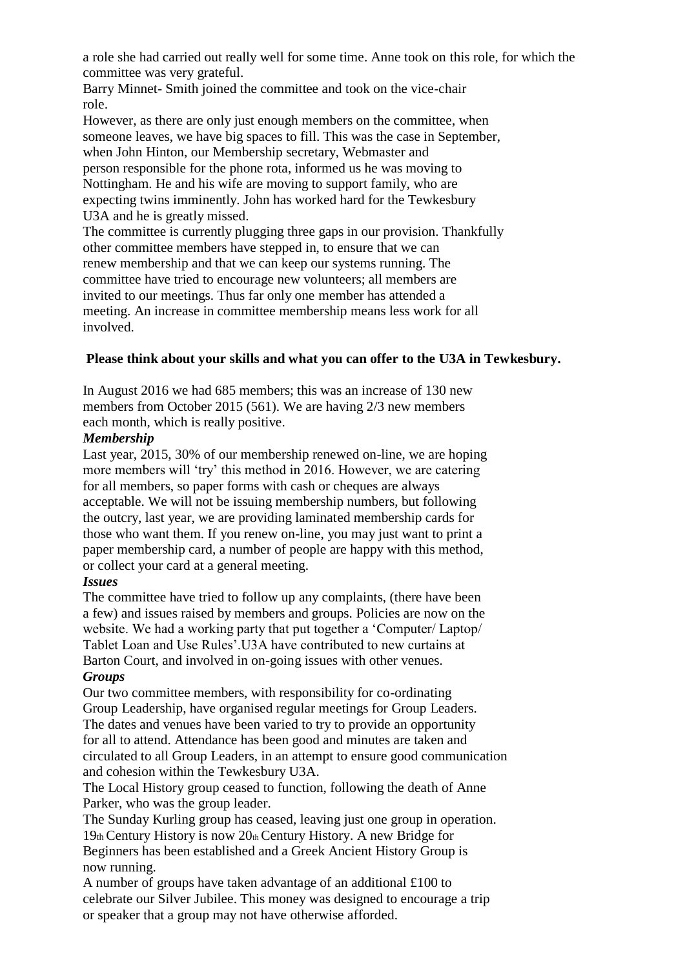a role she had carried out really well for some time. Anne took on this role, for which the committee was very grateful.

Barry Minnet- Smith joined the committee and took on the vice-chair role.

However, as there are only just enough members on the committee, when someone leaves, we have big spaces to fill. This was the case in September, when John Hinton, our Membership secretary, Webmaster and person responsible for the phone rota, informed us he was moving to Nottingham. He and his wife are moving to support family, who are expecting twins imminently. John has worked hard for the Tewkesbury U3A and he is greatly missed.

The committee is currently plugging three gaps in our provision. Thankfully other committee members have stepped in, to ensure that we can renew membership and that we can keep our systems running. The committee have tried to encourage new volunteers; all members are invited to our meetings. Thus far only one member has attended a meeting. An increase in committee membership means less work for all involved.

## **Please think about your skills and what you can offer to the U3A in Tewkesbury.**

In August 2016 we had 685 members; this was an increase of 130 new members from October 2015 (561). We are having 2/3 new members each month, which is really positive.

## *Membership*

Last year, 2015, 30% of our membership renewed on-line, we are hoping more members will 'try' this method in 2016. However, we are catering for all members, so paper forms with cash or cheques are always acceptable. We will not be issuing membership numbers, but following the outcry, last year, we are providing laminated membership cards for those who want them. If you renew on-line, you may just want to print a paper membership card, a number of people are happy with this method, or collect your card at a general meeting.

## *Issues*

The committee have tried to follow up any complaints, (there have been a few) and issues raised by members and groups. Policies are now on the website. We had a working party that put together a 'Computer/ Laptop/ Tablet Loan and Use Rules'.U3A have contributed to new curtains at Barton Court, and involved in on-going issues with other venues.

## *Groups*

Our two committee members, with responsibility for co-ordinating Group Leadership, have organised regular meetings for Group Leaders. The dates and venues have been varied to try to provide an opportunity for all to attend. Attendance has been good and minutes are taken and circulated to all Group Leaders, in an attempt to ensure good communication and cohesion within the Tewkesbury U3A.

The Local History group ceased to function, following the death of Anne Parker, who was the group leader.

The Sunday Kurling group has ceased, leaving just one group in operation. 19th Century History is now 20th Century History. A new Bridge for Beginners has been established and a Greek Ancient History Group is now running.

A number of groups have taken advantage of an additional £100 to celebrate our Silver Jubilee. This money was designed to encourage a trip or speaker that a group may not have otherwise afforded.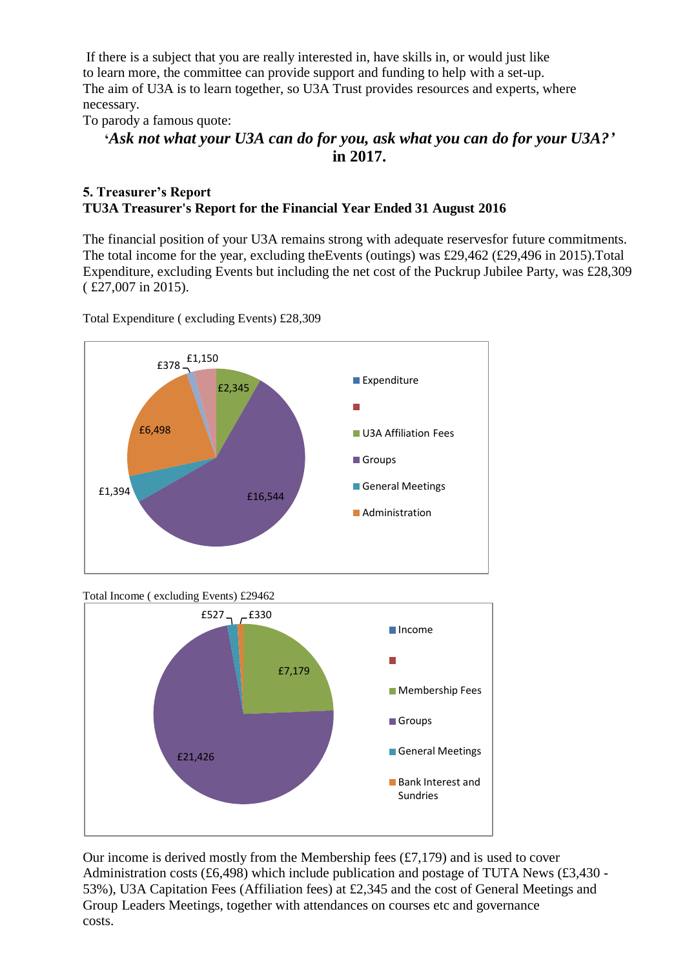If there is a subject that you are really interested in, have skills in, or would just like to learn more, the committee can provide support and funding to help with a set-up. The aim of U3A is to learn together, so U3A Trust provides resources and experts, where necessary.

To parody a famous quote:

## **'***Ask not what your U3A can do for you, ask what you can do for your U3A?'*  **in 2017.**

### **5. Treasurer's Report TU3A Treasurer's Report for the Financial Year Ended 31 August 2016**

The financial position of your U3A remains strong with adequate reservesfor future commitments. The total income for the year, excluding theEvents (outings) was £29,462 (£29,496 in 2015).Total Expenditure, excluding Events but including the net cost of the Puckrup Jubilee Party, was £28,309 ( £27,007 in 2015).

£2,345 £16,544 £1,394 £6,498 £378 £1,150 **Expenditure U3A Affiliation Fees Groups** General Meetings **Administration** 

Total Expenditure ( excluding Events) £28,309

Total Income ( excluding Events) £29462



Our income is derived mostly from the Membership fees  $(E7,179)$  and is used to cover Administration costs (£6,498) which include publication and postage of TUTA News (£3,430 - 53%), U3A Capitation Fees (Affiliation fees) at £2,345 and the cost of General Meetings and Group Leaders Meetings, together with attendances on courses etc and governance costs.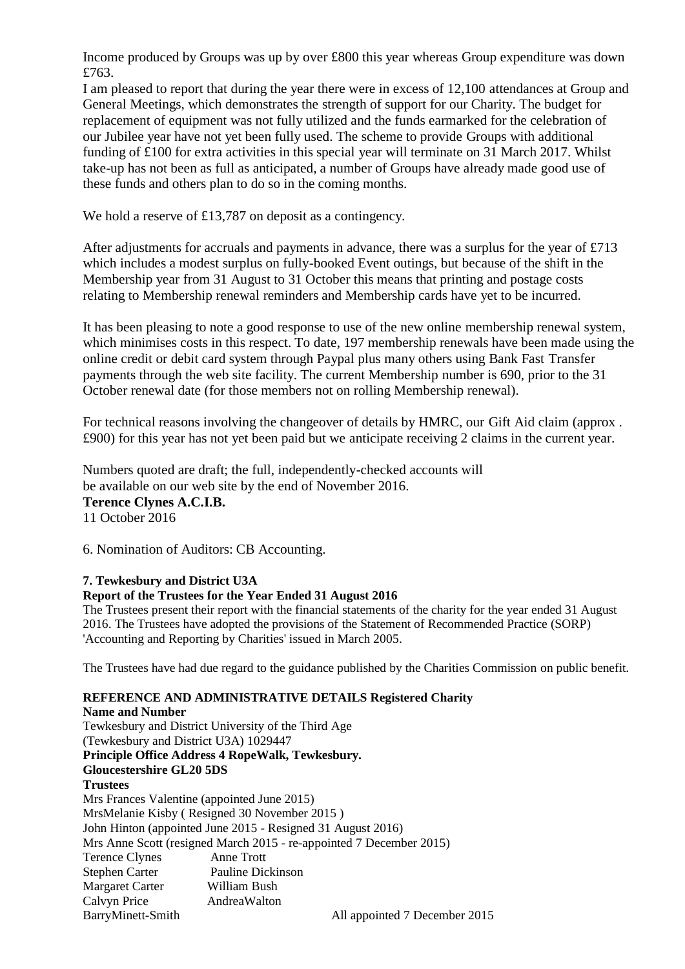Income produced by Groups was up by over £800 this year whereas Group expenditure was down £763.

I am pleased to report that during the year there were in excess of 12,100 attendances at Group and General Meetings, which demonstrates the strength of support for our Charity. The budget for replacement of equipment was not fully utilized and the funds earmarked for the celebration of our Jubilee year have not yet been fully used. The scheme to provide Groups with additional funding of £100 for extra activities in this special year will terminate on 31 March 2017. Whilst take-up has not been as full as anticipated, a number of Groups have already made good use of these funds and others plan to do so in the coming months.

We hold a reserve of £13,787 on deposit as a contingency.

After adjustments for accruals and payments in advance, there was a surplus for the year of £713 which includes a modest surplus on fully-booked Event outings, but because of the shift in the Membership year from 31 August to 31 October this means that printing and postage costs relating to Membership renewal reminders and Membership cards have yet to be incurred.

It has been pleasing to note a good response to use of the new online membership renewal system, which minimises costs in this respect. To date, 197 membership renewals have been made using the online credit or debit card system through Paypal plus many others using Bank Fast Transfer payments through the web site facility. The current Membership number is 690, prior to the 31 October renewal date (for those members not on rolling Membership renewal).

For technical reasons involving the changeover of details by HMRC, our Gift Aid claim (approx . £900) for this year has not yet been paid but we anticipate receiving 2 claims in the current year.

Numbers quoted are draft; the full, independently-checked accounts will be available on our web site by the end of November 2016. **Terence Clynes A.C.I.B.** 11 October 2016

6. Nomination of Auditors: CB Accounting.

#### **7. Tewkesbury and District U3A**

#### **Report of the Trustees for the Year Ended 31 August 2016**

The Trustees present their report with the financial statements of the charity for the year ended 31 August 2016. The Trustees have adopted the provisions of the Statement of Recommended Practice (SORP) 'Accounting and Reporting by Charities' issued in March 2005.

The Trustees have had due regard to the guidance published by the Charities Commission on public benefit.

#### **REFERENCE AND ADMINISTRATIVE DETAILS Registered Charity**

**Name and Number** Tewkesbury and District University of the Third Age (Tewkesbury and District U3A) 1029447 **Principle Office Address 4 RopeWalk, Tewkesbury. Gloucestershire GL20 5DS Trustees** Mrs Frances Valentine (appointed June 2015) MrsMelanie Kisby ( Resigned 30 November 2015 ) John Hinton (appointed June 2015 - Resigned 31 August 2016) Mrs Anne Scott (resigned March 2015 - re-appointed 7 December 2015) Terence Clynes Anne Trott Stephen Carter Pauline Dickinson Margaret Carter William Bush Calvyn Price AndreaWalton BarryMinett-Smith All appointed 7 December 2015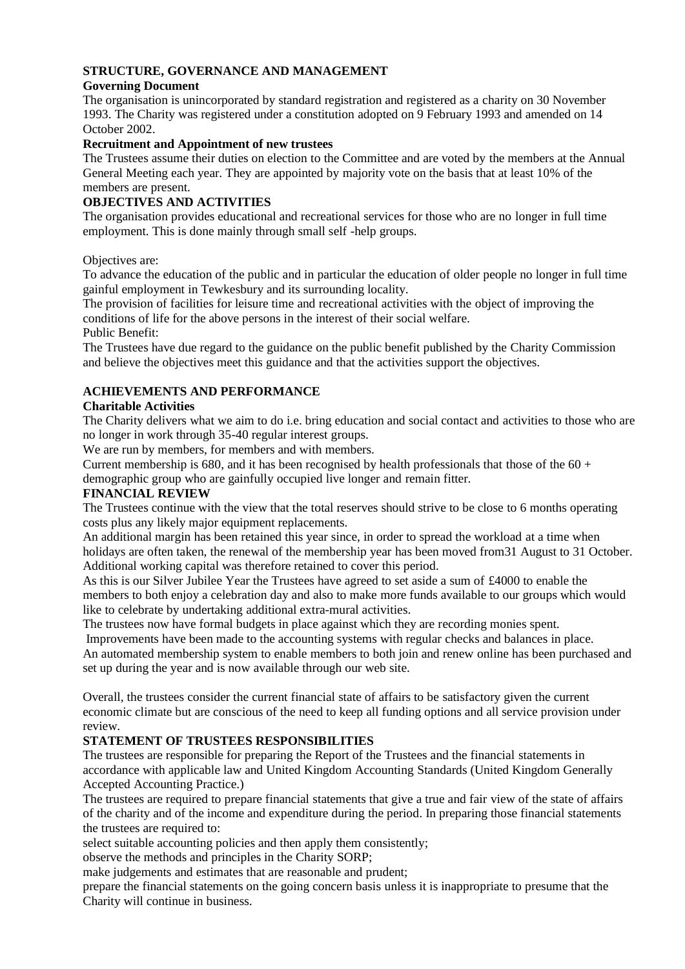#### **STRUCTURE, GOVERNANCE AND MANAGEMENT**

#### **Governing Document**

The organisation is unincorporated by standard registration and registered as a charity on 30 November 1993. The Charity was registered under a constitution adopted on 9 February 1993 and amended on 14 October 2002.

#### **Recruitment and Appointment of new trustees**

The Trustees assume their duties on election to the Committee and are voted by the members at the Annual General Meeting each year. They are appointed by majority vote on the basis that at least 10% of the members are present.

#### **OBJECTIVES AND ACTIVITIES**

The organisation provides educational and recreational services for those who are no longer in full time employment. This is done mainly through small self -help groups.

Objectives are:

To advance the education of the public and in particular the education of older people no longer in full time gainful employment in Tewkesbury and its surrounding locality.

The provision of facilities for leisure time and recreational activities with the object of improving the conditions of life for the above persons in the interest of their social welfare.

Public Benefit:

The Trustees have due regard to the guidance on the public benefit published by the Charity Commission and believe the objectives meet this guidance and that the activities support the objectives.

#### **ACHIEVEMENTS AND PERFORMANCE**

#### **Charitable Activities**

The Charity delivers what we aim to do i.e. bring education and social contact and activities to those who are no longer in work through 35-40 regular interest groups.

We are run by members, for members and with members.

Current membership is 680, and it has been recognised by health professionals that those of the  $60 +$ demographic group who are gainfully occupied live longer and remain fitter.

#### **FINANCIAL REVIEW**

The Trustees continue with the view that the total reserves should strive to be close to 6 months operating costs plus any likely major equipment replacements.

An additional margin has been retained this year since, in order to spread the workload at a time when holidays are often taken, the renewal of the membership year has been moved from 31 August to 31 October. Additional working capital was therefore retained to cover this period.

As this is our Silver Jubilee Year the Trustees have agreed to set aside a sum of £4000 to enable the members to both enjoy a celebration day and also to make more funds available to our groups which would like to celebrate by undertaking additional extra-mural activities.

The trustees now have formal budgets in place against which they are recording monies spent.

Improvements have been made to the accounting systems with regular checks and balances in place. An automated membership system to enable members to both join and renew online has been purchased and set up during the year and is now available through our web site.

Overall, the trustees consider the current financial state of affairs to be satisfactory given the current economic climate but are conscious of the need to keep all funding options and all service provision under review.

#### **STATEMENT OF TRUSTEES RESPONSIBILITIES**

The trustees are responsible for preparing the Report of the Trustees and the financial statements in accordance with applicable law and United Kingdom Accounting Standards (United Kingdom Generally Accepted Accounting Practice.)

The trustees are required to prepare financial statements that give a true and fair view of the state of affairs of the charity and of the income and expenditure during the period. In preparing those financial statements the trustees are required to:

select suitable accounting policies and then apply them consistently;

observe the methods and principles in the Charity SORP;

make judgements and estimates that are reasonable and prudent;

prepare the financial statements on the going concern basis unless it is inappropriate to presume that the Charity will continue in business.